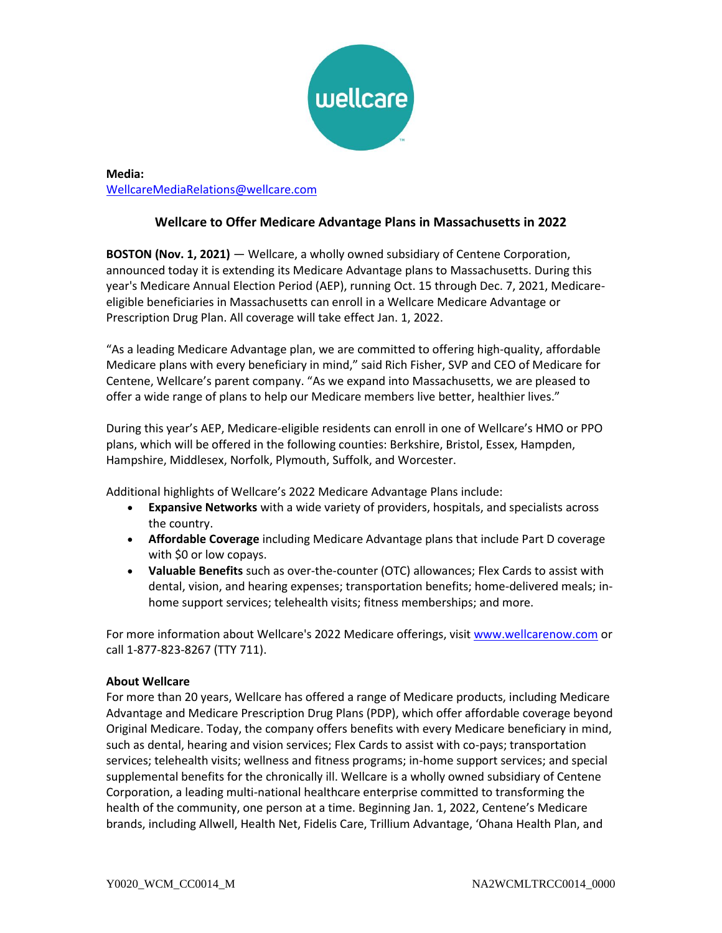

## **Media:** [WellcareMediaRelations@wellcare.com](mailto:WellcareMediaRelations@wellcare.com)

# **Wellcare to Offer Medicare Advantage Plans in Massachusetts in 2022**

**BOSTON (Nov. 1, 2021)** — Wellcare, a wholly owned subsidiary of Centene Corporation, announced today it is extending its Medicare Advantage plans to Massachusetts. During this year's Medicare Annual Election Period (AEP), running Oct. 15 through Dec. 7, 2021, Medicareeligible beneficiaries in Massachusetts can enroll in a Wellcare Medicare Advantage or Prescription Drug Plan. All coverage will take effect Jan. 1, 2022.

"As a leading Medicare Advantage plan, we are committed to offering high-quality, affordable Medicare plans with every beneficiary in mind," said Rich Fisher, SVP and CEO of Medicare for Centene, Wellcare's parent company. "As we expand into Massachusetts, we are pleased to offer a wide range of plans to help our Medicare members live better, healthier lives."

During this year's AEP, Medicare-eligible residents can enroll in one of Wellcare's HMO or PPO plans, which will be offered in the following counties: Berkshire, Bristol, Essex, Hampden, Hampshire, Middlesex, Norfolk, Plymouth, Suffolk, and Worcester.

Additional highlights of Wellcare's 2022 Medicare Advantage Plans include:

- **Expansive Networks** with a wide variety of providers, hospitals, and specialists across the country.
- **Affordable Coverage** including Medicare Advantage plans that include Part D coverage with \$0 or low copays.
- **Valuable Benefits** such as over-the-counter (OTC) allowances; Flex Cards to assist with dental, vision, and hearing expenses; transportation benefits; home-delivered meals; inhome support services; telehealth visits; fitness memberships; and more.

For more information about Wellcare's 2022 Medicare offerings, visit [www.wellcarenow.com](http://www.wellcarenow.com/) or call 1-877-823-8267 (TTY 711).

### **About Wellcare**

For more than 20 years, Wellcare has offered a range of Medicare products, including Medicare Advantage and Medicare Prescription Drug Plans (PDP), which offer affordable coverage beyond Original Medicare. Today, the company offers benefits with every Medicare beneficiary in mind, such as dental, hearing and vision services; Flex Cards to assist with co-pays; transportation services; telehealth visits; wellness and fitness programs; in-home support services; and special supplemental benefits for the chronically ill. Wellcare is a wholly owned subsidiary of Centene Corporation, a leading multi-national healthcare enterprise committed to transforming the health of the community, one person at a time. Beginning Jan. 1, 2022, Centene's Medicare brands, including Allwell, Health Net, Fidelis Care, Trillium Advantage, 'Ohana Health Plan, and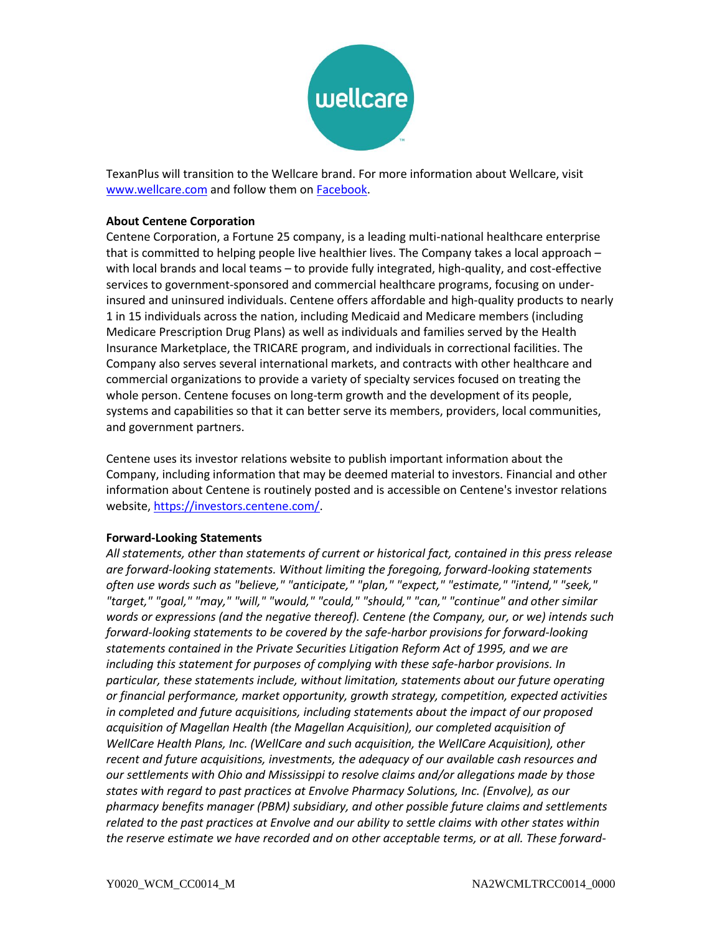

TexanPlus will transition to the Wellcare brand. For more information about Wellcare, visit [www.wellcare.com](http://www.wellcare.com/) and follow them on [Facebook.](https://www.facebook.com/WellcareMedicare)

#### **About Centene Corporation**

Centene Corporation, a Fortune 25 company, is a leading multi-national healthcare enterprise that is committed to helping people live healthier lives. The Company takes a local approach – with local brands and local teams – to provide fully integrated, high-quality, and cost-effective services to government-sponsored and commercial healthcare programs, focusing on underinsured and uninsured individuals. Centene offers affordable and high-quality products to nearly 1 in 15 individuals across the nation, including Medicaid and Medicare members (including Medicare Prescription Drug Plans) as well as individuals and families served by the Health Insurance Marketplace, the TRICARE program, and individuals in correctional facilities. The Company also serves several international markets, and contracts with other healthcare and commercial organizations to provide a variety of specialty services focused on treating the whole person. Centene focuses on long-term growth and the development of its people, systems and capabilities so that it can better serve its members, providers, local communities, and government partners.

Centene uses its investor relations website to publish important information about the Company, including information that may be deemed material to investors. Financial and other information about Centene is routinely posted and is accessible on Centene's investor relations website, [https://investors.centene.com/.](https://investors.centene.com/)

#### **Forward-Looking Statements**

*All statements, other than statements of current or historical fact, contained in this press release are forward-looking statements. Without limiting the foregoing, forward-looking statements often use words such as "believe," "anticipate," "plan," "expect," "estimate," "intend," "seek," "target," "goal," "may," "will," "would," "could," "should," "can," "continue" and other similar words or expressions (and the negative thereof). Centene (the Company, our, or we) intends such forward-looking statements to be covered by the safe-harbor provisions for forward-looking statements contained in the Private Securities Litigation Reform Act of 1995, and we are including this statement for purposes of complying with these safe-harbor provisions. In particular, these statements include, without limitation, statements about our future operating or financial performance, market opportunity, growth strategy, competition, expected activities in completed and future acquisitions, including statements about the impact of our proposed acquisition of Magellan Health (the Magellan Acquisition), our completed acquisition of WellCare Health Plans, Inc. (WellCare and such acquisition, the WellCare Acquisition), other recent and future acquisitions, investments, the adequacy of our available cash resources and our settlements with Ohio and Mississippi to resolve claims and/or allegations made by those states with regard to past practices at Envolve Pharmacy Solutions, Inc. (Envolve), as our pharmacy benefits manager (PBM) subsidiary, and other possible future claims and settlements related to the past practices at Envolve and our ability to settle claims with other states within the reserve estimate we have recorded and on other acceptable terms, or at all. These forward-*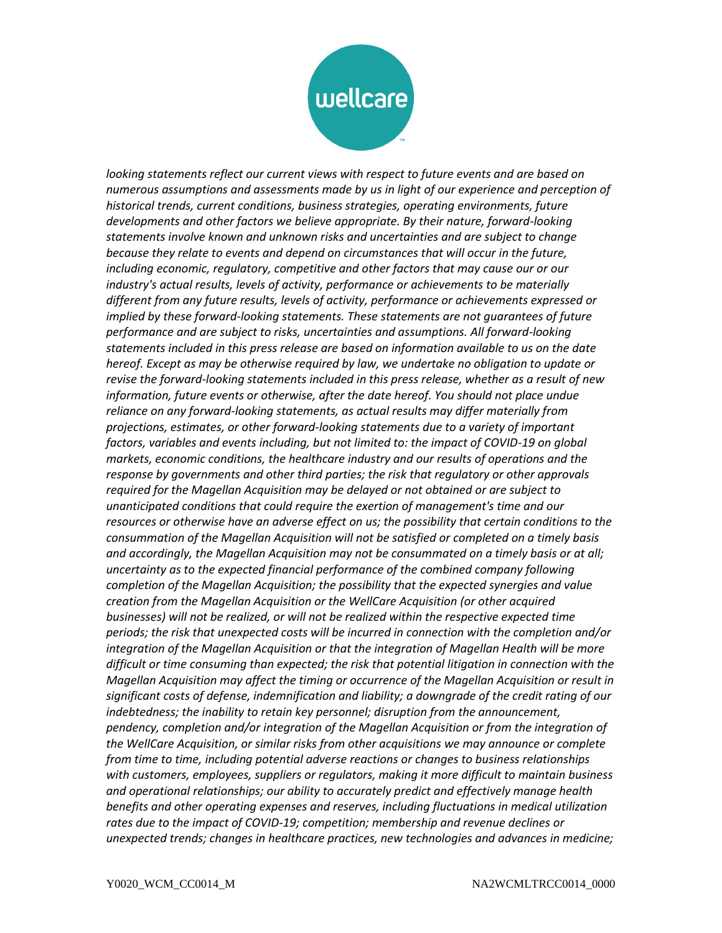

*looking statements reflect our current views with respect to future events and are based on numerous assumptions and assessments made by us in light of our experience and perception of historical trends, current conditions, business strategies, operating environments, future developments and other factors we believe appropriate. By their nature, forward-looking statements involve known and unknown risks and uncertainties and are subject to change because they relate to events and depend on circumstances that will occur in the future, including economic, regulatory, competitive and other factors that may cause our or our industry's actual results, levels of activity, performance or achievements to be materially different from any future results, levels of activity, performance or achievements expressed or implied by these forward-looking statements. These statements are not guarantees of future performance and are subject to risks, uncertainties and assumptions. All forward-looking statements included in this press release are based on information available to us on the date hereof. Except as may be otherwise required by law, we undertake no obligation to update or revise the forward-looking statements included in this press release, whether as a result of new information, future events or otherwise, after the date hereof. You should not place undue reliance on any forward-looking statements, as actual results may differ materially from projections, estimates, or other forward-looking statements due to a variety of important factors, variables and events including, but not limited to: the impact of COVID-19 on global markets, economic conditions, the healthcare industry and our results of operations and the response by governments and other third parties; the risk that regulatory or other approvals required for the Magellan Acquisition may be delayed or not obtained or are subject to unanticipated conditions that could require the exertion of management's time and our resources or otherwise have an adverse effect on us; the possibility that certain conditions to the consummation of the Magellan Acquisition will not be satisfied or completed on a timely basis and accordingly, the Magellan Acquisition may not be consummated on a timely basis or at all; uncertainty as to the expected financial performance of the combined company following completion of the Magellan Acquisition; the possibility that the expected synergies and value creation from the Magellan Acquisition or the WellCare Acquisition (or other acquired businesses) will not be realized, or will not be realized within the respective expected time periods; the risk that unexpected costs will be incurred in connection with the completion and/or integration of the Magellan Acquisition or that the integration of Magellan Health will be more difficult or time consuming than expected; the risk that potential litigation in connection with the Magellan Acquisition may affect the timing or occurrence of the Magellan Acquisition or result in significant costs of defense, indemnification and liability; a downgrade of the credit rating of our indebtedness; the inability to retain key personnel; disruption from the announcement, pendency, completion and/or integration of the Magellan Acquisition or from the integration of the WellCare Acquisition, or similar risks from other acquisitions we may announce or complete from time to time, including potential adverse reactions or changes to business relationships with customers, employees, suppliers or regulators, making it more difficult to maintain business and operational relationships; our ability to accurately predict and effectively manage health benefits and other operating expenses and reserves, including fluctuations in medical utilization rates due to the impact of COVID-19; competition; membership and revenue declines or unexpected trends; changes in healthcare practices, new technologies and advances in medicine;*